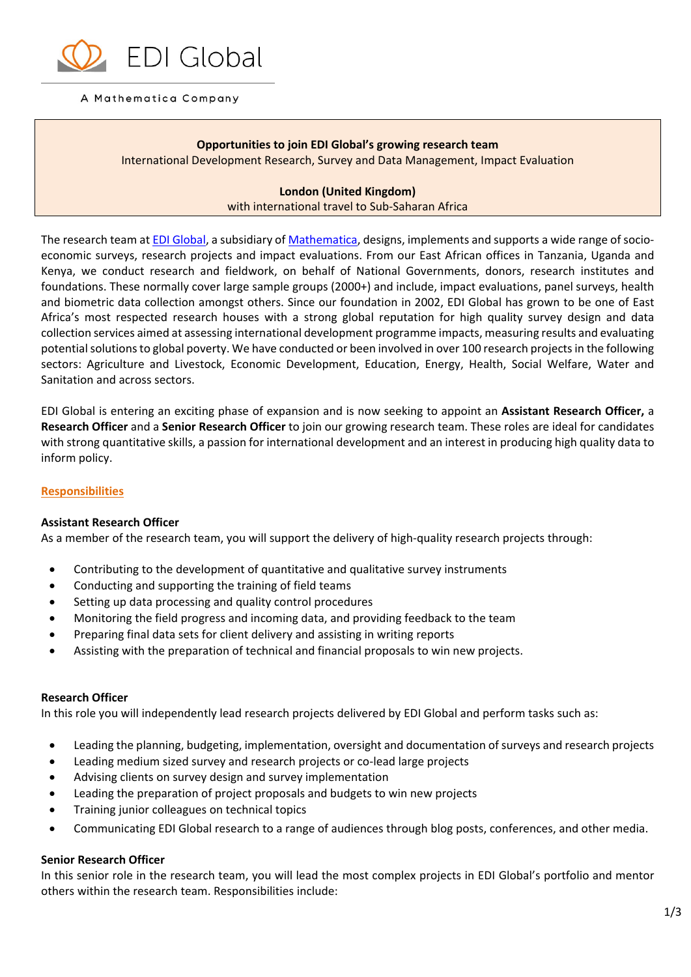

### A Mathematica Company

**Opportunities to join EDI Global's growing research team**  International Development Research, Survey and Data Management, Impact Evaluation

# **London (United Kingdom)** with international travel to Sub-Saharan Africa

The research team a[t EDI Global,](http://edi-global.com/) a subsidiary of [Mathematica,](https://mathematica-mpr.com/) designs, implements and supports a wide range of socioeconomic surveys, research projects and impact evaluations. From our East African offices in Tanzania, Uganda and Kenya, we conduct research and fieldwork, on behalf of National Governments, donors, research institutes and foundations. These normally cover large sample groups (2000+) and include, impact evaluations, panel surveys, health and biometric data collection amongst others. Since our foundation in 2002, EDI Global has grown to be one of East Africa's most respected research houses with a strong global reputation for high quality survey design and data collection services aimed at assessing international development programme impacts, measuring results and evaluating potential solutions to global poverty. We have conducted or been involved in over 100 research projects in the following sectors: Agriculture and Livestock, Economic Development, Education, Energy, Health, Social Welfare, Water and Sanitation and across sectors.

EDI Global is entering an exciting phase of expansion and is now seeking to appoint an **Assistant Research Officer,** a **Research Officer** and a **Senior Research Officer** to join our growing research team. These roles are ideal for candidates with strong quantitative skills, a passion for international development and an interest in producing high quality data to inform policy.

### **Responsibilities**

#### **Assistant Research Officer**

As a member of the research team, you will support the delivery of high-quality research projects through:

- Contributing to the development of quantitative and qualitative survey instruments
- Conducting and supporting the training of field teams
- Setting up data processing and quality control procedures
- Monitoring the field progress and incoming data, and providing feedback to the team
- Preparing final data sets for client delivery and assisting in writing reports
- Assisting with the preparation of technical and financial proposals to win new projects.

#### **Research Officer**

In this role you will independently lead research projects delivered by EDI Global and perform tasks such as:

- Leading the planning, budgeting, implementation, oversight and documentation of surveys and research projects
- Leading medium sized survey and research projects or co-lead large projects
- Advising clients on survey design and survey implementation
- Leading the preparation of project proposals and budgets to win new projects
- Training junior colleagues on technical topics
- Communicating EDI Global research to a range of audiences through blog posts, conferences, and other media.

#### **Senior Research Officer**

In this senior role in the research team, you will lead the most complex projects in EDI Global's portfolio and mentor others within the research team. Responsibilities include: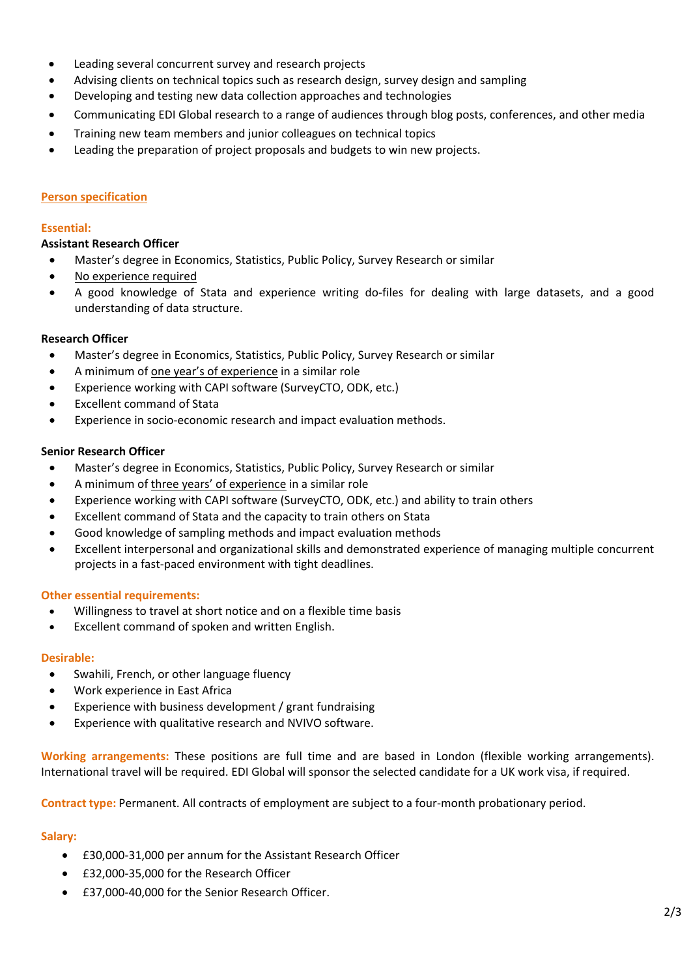- Leading several concurrent survey and research projects
- Advising clients on technical topics such as research design, survey design and sampling
- Developing and testing new data collection approaches and technologies
- Communicating EDI Global research to a range of audiences through blog posts, conferences, and other media
- Training new team members and junior colleagues on technical topics
- Leading the preparation of project proposals and budgets to win new projects.

# **Person specification**

### **Essential:**

# **Assistant Research Officer**

- Master's degree in Economics, Statistics, Public Policy, Survey Research or similar
- No experience required
- A good knowledge of Stata and experience writing do-files for dealing with large datasets, and a good understanding of data structure.

# **Research Officer**

- Master's degree in Economics, Statistics, Public Policy, Survey Research or similar
- A minimum of one year's of experience in a similar role
- Experience working with CAPI software (SurveyCTO, ODK, etc.)
- Excellent command of Stata
- Experience in socio-economic research and impact evaluation methods.

# **Senior Research Officer**

- Master's degree in Economics, Statistics, Public Policy, Survey Research or similar
- A minimum of three years' of experience in a similar role
- Experience working with CAPI software (SurveyCTO, ODK, etc.) and ability to train others
- Excellent command of Stata and the capacity to train others on Stata
- Good knowledge of sampling methods and impact evaluation methods
- Excellent interpersonal and organizational skills and demonstrated experience of managing multiple concurrent projects in a fast-paced environment with tight deadlines.

### **Other essential requirements:**

- Willingness to travel at short notice and on a flexible time basis
- Excellent command of spoken and written English.

### **Desirable:**

- Swahili, French, or other language fluency
- Work experience in East Africa
- Experience with business development / grant fundraising
- Experience with qualitative research and NVIVO software.

**Working arrangements:** These positions are full time and are based in London (flexible working arrangements). International travel will be required. EDI Global will sponsor the selected candidate for a UK work visa, if required.

**Contract type:** Permanent. All contracts of employment are subject to a four-month probationary period.

### **Salary:**

- £30,000-31,000 per annum for the Assistant Research Officer
- £32,000-35,000 for the Research Officer
- £37,000-40,000 for the Senior Research Officer.